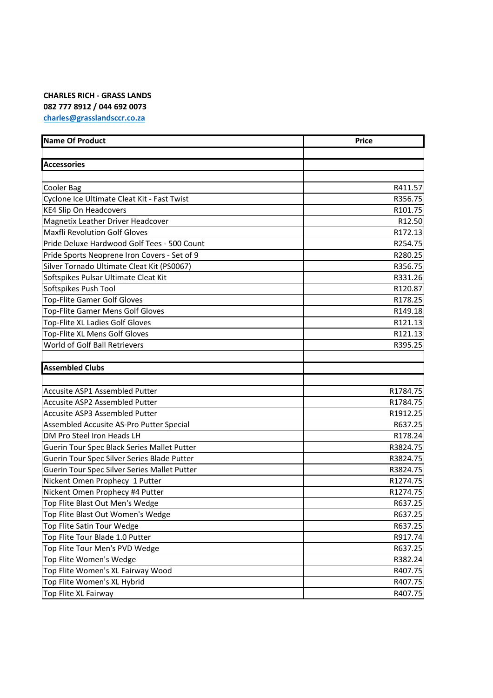## **CHARLES RICH - GRASS LANDS 082 777 8912 / 044 692 0073 [charles@grasslandsccr.co.za](mailto:charles@grasslandsccr.co.za)**

| <b>Name Of Product</b>                       | <b>Price</b> |
|----------------------------------------------|--------------|
|                                              |              |
| <b>Accessories</b>                           |              |
|                                              |              |
| Cooler Bag                                   | R411.57      |
| Cyclone Ice Ultimate Cleat Kit - Fast Twist  | R356.75      |
| <b>KE4 Slip On Headcovers</b>                | R101.75      |
| Magnetix Leather Driver Headcover            | R12.50       |
| <b>Maxfli Revolution Golf Gloves</b>         | R172.13      |
| Pride Deluxe Hardwood Golf Tees - 500 Count  | R254.75      |
| Pride Sports Neoprene Iron Covers - Set of 9 | R280.25      |
| Silver Tornado Ultimate Cleat Kit (PS0067)   | R356.75      |
| Softspikes Pulsar Ultimate Cleat Kit         | R331.26      |
| Softspikes Push Tool                         | R120.87      |
| <b>Top-Flite Gamer Golf Gloves</b>           | R178.25      |
| <b>Top-Flite Gamer Mens Golf Gloves</b>      | R149.18      |
| Top-Flite XL Ladies Golf Gloves              | R121.13      |
| Top-Flite XL Mens Golf Gloves                | R121.13      |
| World of Golf Ball Retrievers                | R395.25      |
|                                              |              |
| <b>Assembled Clubs</b>                       |              |
|                                              |              |
| Accusite ASP1 Assembled Putter               | R1784.75     |
| Accusite ASP2 Assembled Putter               | R1784.75     |
| <b>Accusite ASP3 Assembled Putter</b>        | R1912.25     |
| Assembled Accusite AS-Pro Putter Special     | R637.25      |
| DM Pro Steel Iron Heads LH                   | R178.24      |
| Guerin Tour Spec Black Series Mallet Putter  | R3824.75     |
| Guerin Tour Spec Silver Series Blade Putter  | R3824.75     |
| Guerin Tour Spec Silver Series Mallet Putter | R3824.75     |
| Nickent Omen Prophecy 1 Putter               | R1274.75     |
| Nickent Omen Prophecy #4 Putter              | R1274.75     |
| Top Flite Blast Out Men's Wedge              | R637.25      |
| Top Flite Blast Out Women's Wedge            | R637.25      |
| Top Flite Satin Tour Wedge                   | R637.25      |
| Top Flite Tour Blade 1.0 Putter              | R917.74      |
| Top Flite Tour Men's PVD Wedge               | R637.25      |
| Top Flite Women's Wedge                      | R382.24      |
| Top Flite Women's XL Fairway Wood            | R407.75      |
| Top Flite Women's XL Hybrid                  | R407.75      |
| Top Flite XL Fairway                         | R407.75      |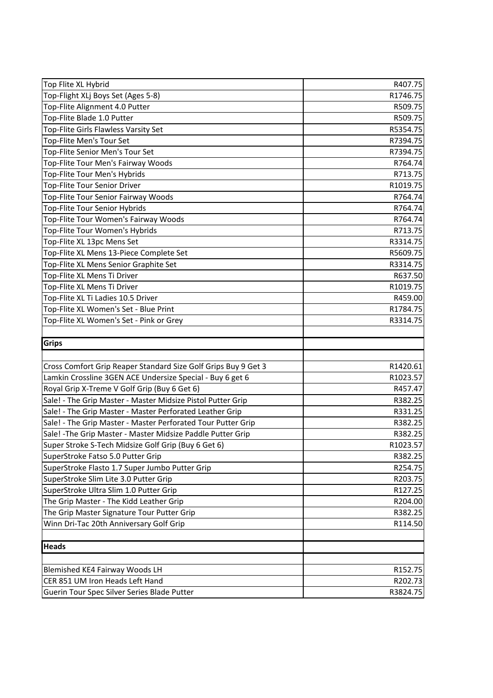| Top Flite XL Hybrid                                            | R407.75  |
|----------------------------------------------------------------|----------|
| Top-Flight XLj Boys Set (Ages 5-8)                             | R1746.75 |
| Top-Flite Alignment 4.0 Putter                                 | R509.75  |
| Top-Flite Blade 1.0 Putter                                     | R509.75  |
| Top-Flite Girls Flawless Varsity Set                           | R5354.75 |
| Top-Flite Men's Tour Set                                       | R7394.75 |
| Top-Flite Senior Men's Tour Set                                | R7394.75 |
| Top-Flite Tour Men's Fairway Woods                             | R764.74  |
| Top-Flite Tour Men's Hybrids                                   | R713.75  |
| <b>Top-Flite Tour Senior Driver</b>                            | R1019.75 |
| Top-Flite Tour Senior Fairway Woods                            | R764.74  |
| Top-Flite Tour Senior Hybrids                                  | R764.74  |
| Top-Flite Tour Women's Fairway Woods                           | R764.74  |
| Top-Flite Tour Women's Hybrids                                 | R713.75  |
| Top-Flite XL 13pc Mens Set                                     | R3314.75 |
| Top-Flite XL Mens 13-Piece Complete Set                        | R5609.75 |
| Top-Flite XL Mens Senior Graphite Set                          | R3314.75 |
| Top-Flite XL Mens Ti Driver                                    | R637.50  |
| Top-Flite XL Mens Ti Driver                                    | R1019.75 |
| Top-Flite XL Ti Ladies 10.5 Driver                             | R459.00  |
| Top-Flite XL Women's Set - Blue Print                          | R1784.75 |
| Top-Flite XL Women's Set - Pink or Grey                        | R3314.75 |
|                                                                |          |
|                                                                |          |
| Grips                                                          |          |
|                                                                |          |
| Cross Comfort Grip Reaper Standard Size Golf Grips Buy 9 Get 3 | R1420.61 |
| Lamkin Crossline 3GEN ACE Undersize Special - Buy 6 get 6      | R1023.57 |
| Royal Grip X-Treme V Golf Grip (Buy 6 Get 6)                   | R457.47  |
| Sale! - The Grip Master - Master Midsize Pistol Putter Grip    | R382.25  |
| Sale! - The Grip Master - Master Perforated Leather Grip       | R331.25  |
| Sale! - The Grip Master - Master Perforated Tour Putter Grip   | R382.25  |
| Sale! - The Grip Master - Master Midsize Paddle Putter Grip    | R382.25  |
| Super Stroke S-Tech Midsize Golf Grip (Buy 6 Get 6)            | R1023.57 |
| SuperStroke Fatso 5.0 Putter Grip                              | R382.25  |
| SuperStroke Flasto 1.7 Super Jumbo Putter Grip                 | R254.75  |
| SuperStroke Slim Lite 3.0 Putter Grip                          | R203.75  |
| SuperStroke Ultra Slim 1.0 Putter Grip                         | R127.25  |
| The Grip Master - The Kidd Leather Grip                        | R204.00  |
| The Grip Master Signature Tour Putter Grip                     | R382.25  |
| Winn Dri-Tac 20th Anniversary Golf Grip                        | R114.50  |
|                                                                |          |
| <b>Heads</b>                                                   |          |
|                                                                |          |
| Blemished KE4 Fairway Woods LH                                 | R152.75  |
| CER 851 UM Iron Heads Left Hand                                | R202.73  |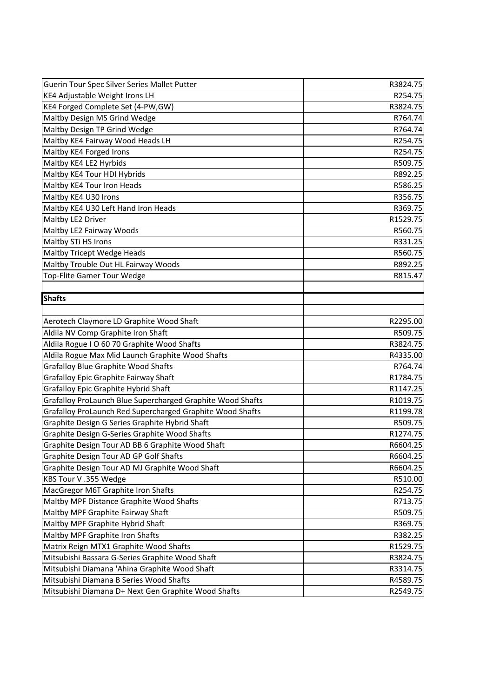| Guerin Tour Spec Silver Series Mallet Putter               | R3824.75 |
|------------------------------------------------------------|----------|
| KE4 Adjustable Weight Irons LH                             | R254.75  |
| KE4 Forged Complete Set (4-PW,GW)                          | R3824.75 |
| Maltby Design MS Grind Wedge                               | R764.74  |
| Maltby Design TP Grind Wedge                               | R764.74  |
| Maltby KE4 Fairway Wood Heads LH                           | R254.75  |
| Maltby KE4 Forged Irons                                    | R254.75  |
| Maltby KE4 LE2 Hyrbids                                     | R509.75  |
| Maltby KE4 Tour HDI Hybrids                                | R892.25  |
| Maltby KE4 Tour Iron Heads                                 | R586.25  |
| Maltby KE4 U30 Irons                                       | R356.75  |
| Maltby KE4 U30 Left Hand Iron Heads                        | R369.75  |
| Maltby LE2 Driver                                          | R1529.75 |
| Maltby LE2 Fairway Woods                                   | R560.75  |
| Maltby STi HS Irons                                        | R331.25  |
| Maltby Tricept Wedge Heads                                 | R560.75  |
| Maltby Trouble Out HL Fairway Woods                        | R892.25  |
| Top-Flite Gamer Tour Wedge                                 | R815.47  |
|                                                            |          |
| <b>Shafts</b>                                              |          |
|                                                            |          |
| Aerotech Claymore LD Graphite Wood Shaft                   | R2295.00 |
| Aldila NV Comp Graphite Iron Shaft                         | R509.75  |
| Aldila Rogue I O 60 70 Graphite Wood Shafts                | R3824.75 |
| Aldila Rogue Max Mid Launch Graphite Wood Shafts           | R4335.00 |
| <b>Grafalloy Blue Graphite Wood Shafts</b>                 | R764.74  |
| <b>Grafalloy Epic Graphite Fairway Shaft</b>               | R1784.75 |
| <b>Grafalloy Epic Graphite Hybrid Shaft</b>                | R1147.25 |
| Grafalloy ProLaunch Blue Supercharged Graphite Wood Shafts | R1019.75 |
| Grafalloy ProLaunch Red Supercharged Graphite Wood Shafts  | R1199.78 |
| Graphite Design G Series Graphite Hybrid Shaft             | R509.75  |
| Graphite Design G-Series Graphite Wood Shafts              | R1274.75 |
| Graphite Design Tour AD BB 6 Graphite Wood Shaft           | R6604.25 |
| Graphite Design Tour AD GP Golf Shafts                     | R6604.25 |
| Graphite Design Tour AD MJ Graphite Wood Shaft             | R6604.25 |
| KBS Tour V.355 Wedge                                       | R510.00  |
| MacGregor M6T Graphite Iron Shafts                         | R254.75  |
| Maltby MPF Distance Graphite Wood Shafts                   | R713.75  |
| Maltby MPF Graphite Fairway Shaft                          | R509.75  |
| Maltby MPF Graphite Hybrid Shaft                           | R369.75  |
| Maltby MPF Graphite Iron Shafts                            | R382.25  |
| Matrix Reign MTX1 Graphite Wood Shafts                     | R1529.75 |
| Mitsubishi Bassara G-Series Graphite Wood Shaft            | R3824.75 |
| Mitsubishi Diamana 'Ahina Graphite Wood Shaft              | R3314.75 |
| Mitsubishi Diamana B Series Wood Shafts                    | R4589.75 |
| Mitsubishi Diamana D+ Next Gen Graphite Wood Shafts        | R2549.75 |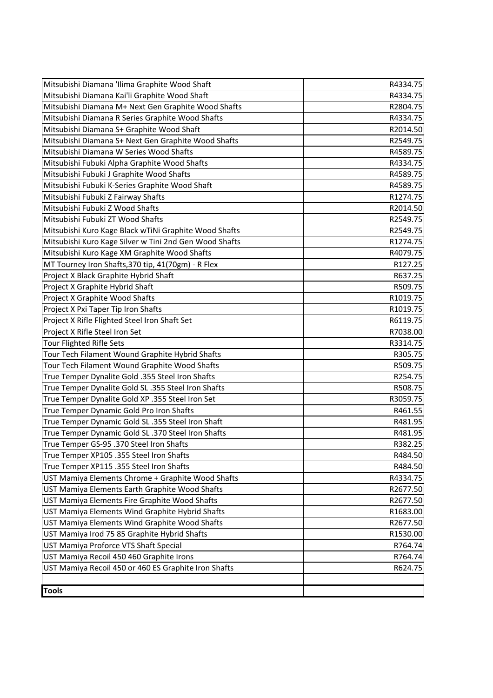| Mitsubishi Diamana 'Ilima Graphite Wood Shaft          | R4334.75 |
|--------------------------------------------------------|----------|
| Mitsubishi Diamana Kai'li Graphite Wood Shaft          | R4334.75 |
| Mitsubishi Diamana M+ Next Gen Graphite Wood Shafts    | R2804.75 |
| Mitsubishi Diamana R Series Graphite Wood Shafts       | R4334.75 |
| Mitsubishi Diamana S+ Graphite Wood Shaft              | R2014.50 |
| Mitsubishi Diamana S+ Next Gen Graphite Wood Shafts    | R2549.75 |
| Mitsubishi Diamana W Series Wood Shafts                | R4589.75 |
| Mitsubishi Fubuki Alpha Graphite Wood Shafts           | R4334.75 |
| Mitsubishi Fubuki J Graphite Wood Shafts               | R4589.75 |
| Mitsubishi Fubuki K-Series Graphite Wood Shaft         | R4589.75 |
| Mitsubishi Fubuki Z Fairway Shafts                     | R1274.75 |
| Mitsubishi Fubuki Z Wood Shafts                        | R2014.50 |
| Mitsubishi Fubuki ZT Wood Shafts                       | R2549.75 |
| Mitsubishi Kuro Kage Black wTiNi Graphite Wood Shafts  | R2549.75 |
| Mitsubishi Kuro Kage Silver w Tini 2nd Gen Wood Shafts | R1274.75 |
| Mitsubishi Kuro Kage XM Graphite Wood Shafts           | R4079.75 |
| MT Tourney Iron Shafts, 370 tip, 41(70gm) - R Flex     | R127.25  |
| Project X Black Graphite Hybrid Shaft                  | R637.25  |
| Project X Graphite Hybrid Shaft                        | R509.75  |
| Project X Graphite Wood Shafts                         | R1019.75 |
| Project X Pxi Taper Tip Iron Shafts                    | R1019.75 |
| Project X Rifle Flighted Steel Iron Shaft Set          | R6119.75 |
| Project X Rifle Steel Iron Set                         | R7038.00 |
| <b>Tour Flighted Rifle Sets</b>                        | R3314.75 |
| Tour Tech Filament Wound Graphite Hybrid Shafts        | R305.75  |
| Tour Tech Filament Wound Graphite Wood Shafts          | R509.75  |
| True Temper Dynalite Gold .355 Steel Iron Shafts       | R254.75  |
| True Temper Dynalite Gold SL .355 Steel Iron Shafts    | R508.75  |
| True Temper Dynalite Gold XP .355 Steel Iron Set       | R3059.75 |
| True Temper Dynamic Gold Pro Iron Shafts               | R461.55  |
| True Temper Dynamic Gold SL .355 Steel Iron Shaft      | R481.95  |
| True Temper Dynamic Gold SL .370 Steel Iron Shafts     | R481.95  |
| True Temper GS-95 .370 Steel Iron Shafts               | R382.25  |
| True Temper XP105 .355 Steel Iron Shafts               | R484.50  |
| True Temper XP115 .355 Steel Iron Shafts               | R484.50  |
| UST Mamiya Elements Chrome + Graphite Wood Shafts      | R4334.75 |
| UST Mamiya Elements Earth Graphite Wood Shafts         | R2677.50 |
| UST Mamiya Elements Fire Graphite Wood Shafts          | R2677.50 |
| UST Mamiya Elements Wind Graphite Hybrid Shafts        | R1683.00 |
| UST Mamiya Elements Wind Graphite Wood Shafts          | R2677.50 |
| UST Mamiya Irod 75 85 Graphite Hybrid Shafts           | R1530.00 |
| UST Mamiya Proforce VTS Shaft Special                  | R764.74  |
| UST Mamiya Recoil 450 460 Graphite Irons               | R764.74  |
| UST Mamiya Recoil 450 or 460 ES Graphite Iron Shafts   | R624.75  |
|                                                        |          |
| <b>Tools</b>                                           |          |